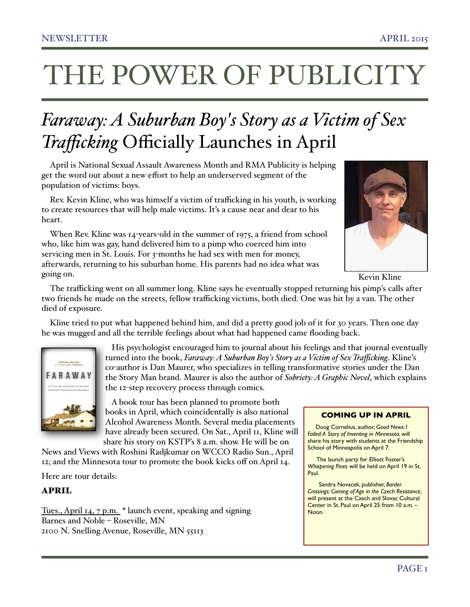## THE POWER OF PUBLICITY

## *Faraway: A Suburban Boy's Story as a Victim of Sex Trafficking* Officially Launches in April

April is National Sexual Assault Awareness Month and RMA Publicity is helping get the word out about a new effort to help an underserved segment of the population of victims: boys.

Rev. Kevin Kline, who was himself a victim of trafficking in his youth, is working to create resources that will help male victims. It's a cause near and dear to his heart.

When Rev. Kline was 14-years-old in the summer of 1975, a friend from school who, like him was gay, hand delivered him to a pimp who coerced him into servicing men in St. Louis. For 3-months he had sex with men for money, afterwards, returning to his suburban home. His parents had no idea what was going on.



Kevin Kline

The trafficking went on all summer long. Kline says he eventually stopped returning his pimp's calls after two friends he made on the streets, fellow trafficking victims, both died. One was hit by a van. The other died of exposure.

Kline tried to put what happened behind him, and did a pretty good job of it for 30 years. Then one day he was mugged and all the terrible feelings about what had happened came flooding back.



 His psychologist encouraged him to journal about his feelings and that journal eventually turned into the book, *Faraway: A Suburban Boy's Story as a Victim of Sex Trafficking*. Kline's co-author is Dan Maurer, who specializes in telling transformative stories under the Dan the Story Man brand. Maurer is also the author of *Sobriety: A Graphic Novel*, which explains the 12-step recovery process through comics.

 A book tour has been planned to promote both books in April, which coincidentally is also national Alcohol Awareness Month. Several media placements have already been secured. On Sat., April 11, Kline will share his story on KSTP's 8 a.m. show. He will be on

News and Views with Roshini Radjkumar on WCCO Radio Sun., April 12; and the Minnesota tour to promote the book kicks off on April 14.

Here are tour details:

#### APRIL

Tues., April 14, 7 p.m. \* launch event, speaking and signing Barnes and Noble – Roseville, MN 2100 N. Snelling Avenue, Roseville, MN 55113

#### **COMING UP IN APRIL**

 Doug Cornelius, author, G*ood News: I Failed: A Story of Inventing in Minnesota*, will share his story with students at the Friendship School of Minneapolis on April 7.

 The launch party for Elliott Foster's *Whispering Pine*s will be held on April 19 in St. Paul.

 Sandra Novacek, publisher, *Border Crossings: Coming of Age in the Czech Resistance,* will present at the Czech and Slovac Cultural Center in St. Paul on April 25 from 10 a.m. – Noon.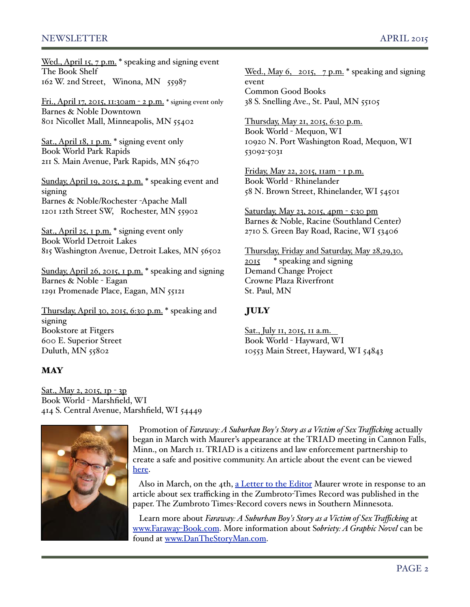#### NEWSLETTER APRIL 2015

Wed., April 15, 7 p.m. \* speaking and signing event The Book Shelf 162 W. 2nd Street, Winona, MN 55987

Fri., April 17, 2015, 11:30am - 2 p.m. \* signing event only Barnes & Noble Downtown 801 Nicollet Mall, Minneapolis, MN 55402

Sat., April 18, 1 p.m. \* signing event only Book World Park Rapids 211 S. Main Avenue, Park Rapids, MN 56470

Sunday, April 19, 2015, 2 p.m. \* speaking event and signing Barnes & Noble/Rochester -Apache Mall 1201 12th Street SW, Rochester, MN 55902

Sat., April 25, 1 p.m. \* signing event only Book World Detroit Lakes 815 Washington Avenue, Detroit Lakes, MN 56502

Sunday, April 26, 2015, 1 p.m. \* speaking and signing Barnes & Noble - Eagan 1291 Promenade Place, Eagan, MN 55121

Thursday, April 30, 2015, 6:30 p.m. \* speaking and signing Bookstore at Fitgers 600 E. Superior Street Duluth, MN 55802

#### **MAY**

Wed., May 6, 2015, 7 p.m. \* speaking and signing event Common Good Books 38 S. Snelling Ave., St. Paul, MN 55105

Thursday, May 21, 2015, 6:30 p.m. Book World - Mequon, WI 10920 N. Port Washington Road, Mequon, WI 53092-5031

Friday, May 22, 2015, 11am - 1 p.m. Book World - Rhinelander 58 N. Brown Street, Rhinelander, WI 54501

Saturday, May 23, 2015, 4pm - 5:30 pm Barnes & Noble, Racine (Southland Center) 2710 S. Green Bay Road, Racine, WI 53406

Thursday, Friday and Saturday, May 28,29,30, 2015 \* speaking and signing Demand Change Project Crowne Plaza Riverfront St. Paul, MN

#### **JULY**

Sat., July 11, 2015, 11 a.m. Book World - Hayward, WI 10553 Main Street, Hayward, WI 54843

Sat., May 2, 2015, 1p - 3p Book World - Marshfield, WI 414 S. Central Avenue, Marshfield, WI 54449



 Promotion of *Faraway: A Suburban Boy's Story as a Victim of Sex Trafficking* actually began in March with Maurer's appearance at the TRIAD meeting in Cannon Falls, Minn., on March 11. TRIAD is a citizens and law enforcement partnership to create a safe and positive community. An article about the event can be viewed [here.](http://www.southernminn.com/the_kenyon_leader/community/article_d2b57a30-b0dc-5937-8f47-9952393d22f6.html)

Also in March, on the 4th, [a Letter to the Editor](http://www.zumbrota.com/articles/opinions) Maurer wrote in response to an article about sex trafficking in the Zumbroto-Times Record was published in the paper. The Zumbroto Times-Record covers news in Southern Minnesota.

 Learn more about *Faraway: A Suburban Boy's Story as a Victim of Sex Trafficking* at [www.Faraway](http://www.Faraway-Book.com)-Book.com. More information about S*obriety: A Graphic Novel* can be found at [www.DanTheStoryMan.com.](http://www.DanTheStoryMan.com)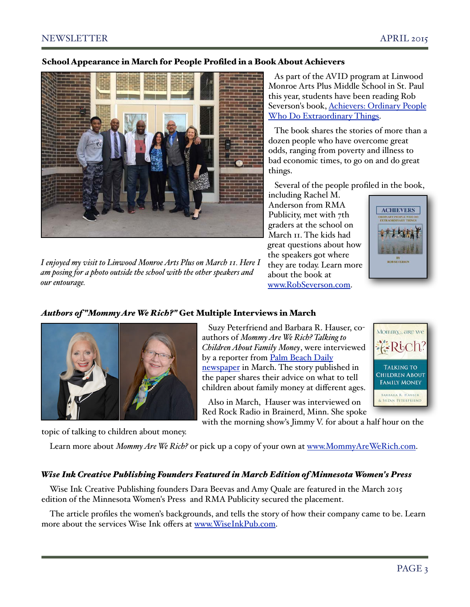#### School Appearance in March for People Profiled in a Book About Achievers



*I enjoyed my visit to Linwood Monroe Arts Plus on March 11. Here I am posing for a photo outside the school with the other speakers and our entourage.* 

 As part of the AVID program at Linwood Monroe Arts Plus Middle School in St. Paul this year, students have been reading Rob Severson's book, [Achievers: Ordinary People](http://livepage.apple.com/)  [Who Do Extraordinary Things.](http://livepage.apple.com/)

 The book shares the stories of more than a dozen people who have overcome great odds, ranging from poverty and illness to bad economic times, to go on and do great things.

Several of the people profiled in the book,

including Rachel M. Anderson from RMA Publicity, met with 7th graders at the school on March 11. The kids had great questions about how the speakers got where they are today. Learn more about the book at [www.RobSeverson.com.](http://www.RobSeverson.com)



Mommy<sub>2</sub> are we

#### *Authors of "Mommy Are We Rich?"* Get Multiple Interviews in March



 Suzy Peterfriend and Barbara R. Hauser, coauthors of *Mommy Are We Rich? Talking to Children About Family Money*, were interviewed by a reporter from Palm Beach Daily [newspaper](http://www.palmbeachdailynews.com/news/business/family-talks-about-money-vital-for-children-author/nkb64/) in March. The story published in the paper shares their advice on what to tell children about family money at different ages.

 $-k$ -Roch **TALKING TO CHILDREN ABOUT FAMILY MONEY** BARBARA R. HAUSER & SUZAN PETERFRIEN

 Also in March, Hauser was interviewed on Red Rock Radio in Brainerd, Minn. She spoke

with the morning show's Jimmy V. for about a half hour on the

topic of talking to children about money.

Learn more about *Mommy Are We Rich*? or pick up a copy of your own at [www.MommyAreWeRich.com.](http://www.MommyAreWeRich.com)

#### *Wise Ink Creative Publishing Founders Featured in March Edition of Minnesota Women's Press*

Wise Ink Creative Publishing founders Dara Beevas and Amy Quale are featured in the March 2015 edition of the Minnesota Women's Press and RMA Publicity secured the placement.

The article profiles the women's backgrounds, and tells the story of how their company came to be. Learn more about the services Wise Ink offers at [www.WiseInkPub.com.](http://www.WiseInkPub.com)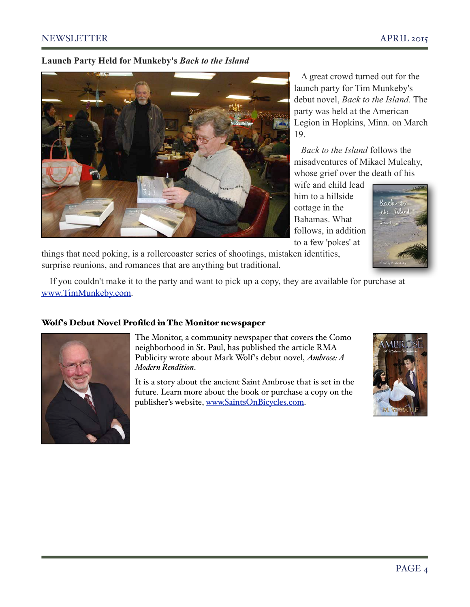#### NEWSLETTER APRIL 2015

#### **Launch Party Held for Munkeby's** *Back to the Island*



A great crowd turned out for the launch party for Tim Munkeby's debut novel, *Back to the Island.* The party was held at the American Legion in Hopkins, Minn. on March 19.

 *Back to the Island* follows the misadventures of Mikael Mulcahy, whose grief over the death of his

wife and child lead him to a hillside cottage in the Bahamas. What follows, in addition to a few 'pokes' at



things that need poking, is a rollercoaster series of shootings, mistaken identities, surprise reunions, and romances that are anything but traditional.

If you couldn't make it to the party and want to pick up a copy, they are available for purchase at [www.TimMunkeby.com.](http://www.TimMunkeby.com)

#### Wolf's Debut Novel Profiled in The Monitor newspaper



The Monitor, a community newspaper that covers the Como neighborhood in St. Paul, has published the article RMA Publicity wrote about Mark Wolf's debut novel, *Ambrose: A Modern Rendition*.

It is a story about the ancient Saint Ambrose that is set in the future. Learn more about the book or purchase a copy on the publisher's website, [www.SaintsOnBicycles.com.](http://www.SaintsOnBicycles.com)

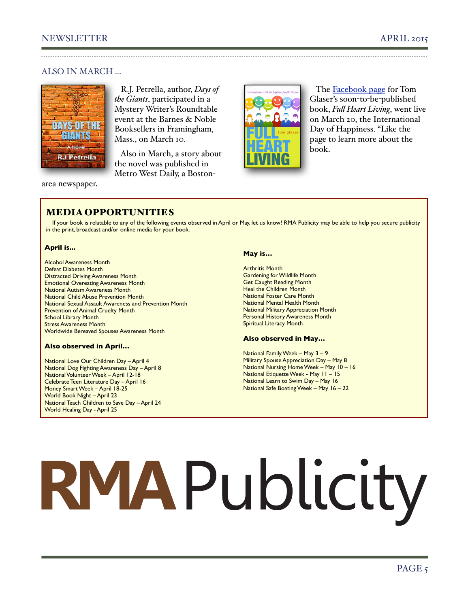#### ALSO IN MARCH ...



 R.J. Petrella, author, *Days of the Giants*, participated in a Mystery Writer's Roundtable event at the Barnes & Noble Booksellers in Framingham, Mass., on March 10.

 Also in March, a story about the novel was published in Metro West Daily, a Boston-



 The [Facebook page](https://www.facebook.com/fullheartliving) for Tom Glaser's soon-to-be-published book, *Ful Heart Living*, went live on March 20, the International Day of Happiness. "Like the page to learn more about the book.

#### area newspaper.

#### MEDIA OPPORTUNITIES

If your book is relatable to any of the following events observed in April or May, let us know! RMA Publicity may be able to help you secure publicity in the print, broadcast and/or online media for your book.

#### **April is...**

Alcohol Awareness Month Defeat Diabetes Month Distracted Driving Awareness Month Emotional Overeating Awareness Month National Autism Awareness Month National Child Abuse Prevention Month National Sexual Assault Awareness and Prevention Month Prevention of Animal Cruelty Month **School Library Month** Stress Awareness Month Worldwide Bereaved Spouses Awareness Month

#### **Also observed in April…**

National Love Our Children Day – April 4 National Dog Fighting Awareness Day – April 8 National Volunteer Week – April 12-18 Celebrate Teen Literature Day – April 16 Money Smart Week – April 18-25 World Book Night – April 23 National Teach Children to Save Day – April 24 World Healing Day - April 25

#### **May is…**

Arthritis Month Gardening for Wildlife Month Get Caught Reading Month Heal the Children Month National Foster Care Month National Mental Health Month National Military Appreciation Month Personal History Awareness Month Spiritual Literacy Month

#### **Also observed in May…**

National Family Week – May 3 – 9 Military Spouse Appreciation Day – May 8 National Nursing Home Week – May 10 – 16 National Etiquette Week - May 11 – 15 National Learn to Swim Day – May 16 National Safe Boating Week – May 16 – 22

# RMAPublicity